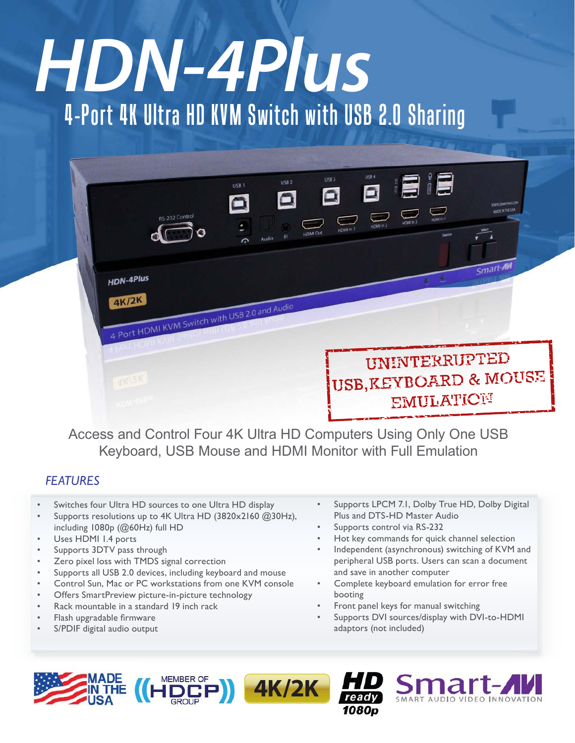# 4-Port 4K Ultra HD KVM Switch with USB 2.0 Sharing *HDN-4Plus*

| <b>HDN-4Plus</b><br>4K/2K      | RS-232 Control | USB <sub>2</sub><br>USB <sub>1</sub><br><b>IR</b><br>Audio<br>$\Omega$<br>4 Port HDMI KVM Switch with USB 2.0 and Audio | USB <sub>3</sub><br><b>HDMHn1</b><br><b>HDMI</b> Out | USB 4<br>Ξ<br>$\sim$<br>HDMI In 3<br>HDMI In 2 | <b>E</b><br>$\bigcirc$<br>HOME In 4<br>Station | WWW.SMARTAN.COM<br>MADE IN THE USA<br>Smart-AM |
|--------------------------------|----------------|-------------------------------------------------------------------------------------------------------------------------|------------------------------------------------------|------------------------------------------------|------------------------------------------------|------------------------------------------------|
| <b>RKISK</b><br><b>HOW TO!</b> |                |                                                                                                                         |                                                      | UNINTERRUPTED                                  | EMULATION                                      | USB, KEYBOARD & MOUSE                          |

Access and Control Four 4K Ultra HD Computers Using Only One USB Keyboard, USB Mouse and HDMI Monitor with Full Emulation

**4K/2K**

# *FEATURES*

- Switches four Ultra HD sources to one Ultra HD display
- Supports resolutions up to 4K Ultra HD (3820x2160 @30Hz), including 1080p (@60Hz) full HD
- Uses HDMI 1.4 ports
- Supports 3DTV pass through
- Zero pixel loss with TMDS signal correction
- Supports all USB 2.0 devices, including keyboard and mouse
- Control Sun, Mac or PC workstations from one KVM console

**MEMBER OF** 

- Offers SmartPreview picture-in-picture technology
- Rack mountable in a standard 19 inch rack
- Flash upgradable firmware
- S/PDIF digital audio output
- Supports LPCM 7.1, Dolby True HD, Dolby Digital Plus and DTS-HD Master Audio
- Supports control via RS-232

1080n

- Hot key commands for quick channel selection
- Independent (asynchronous) switching of KVM and peripheral USB ports. Users can scan a document and save in another computer
- Complete keyboard emulation for error free booting
- Front panel keys for manual switching
- Supports DVI sources/display with DVI-to-HDMI adaptors (not included)

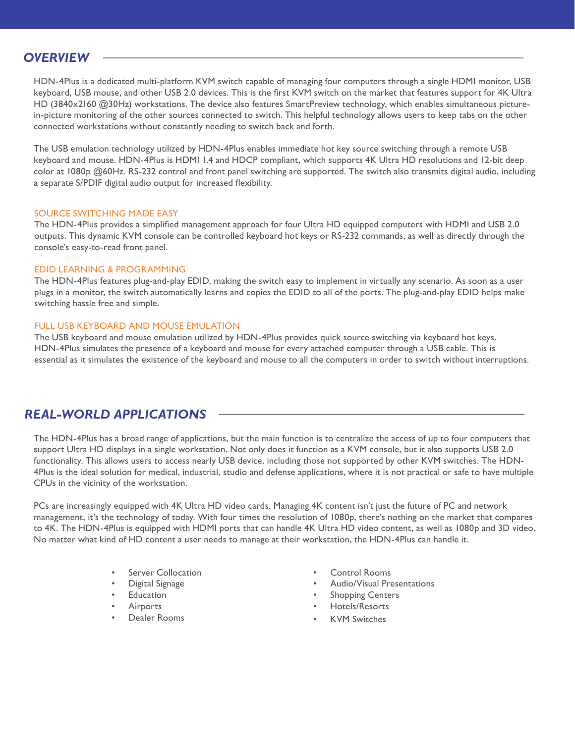#### *OVERVIEW*

HDN-4Plus is a dedicated multi-platform KVM switch capable of managing four computers through a single HDMI monitor, USB keyboard, USB mouse, and other USB 2.0 devices. This is the first KVM switch on the market that features support for 4K Ultra HD (3840x2160 @30Hz) workstations. The device also features SmartPreview technology, which enables simultaneous picturein-picture monitoring of the other sources connected to switch. This helpful technology allows users to keep tabs on the other connected workstations without constantly needing to switch back and forth.

The USB emulation technology utilized by HDN-4Plus enables immediate hot key source switching through a remote USB keyboard and mouse. HDN-4Plus is HDMI 1.4 and HDCP compliant, which supports 4K Ultra HD resolutions and 12-bit deep color at 1080p @60Hz. RS-232 control and front panel switching are supported. The switch also transmits digital audio, including a separate S/PDIF digital audio output for increased flexibility.

#### SOURCE SWITCHING MADE EASY

The HDN-4Plus provides a simplified management approach for four Ultra HD equipped computers with HDMI and USB 2.0 outputs. This dynamic KVM console can be controlled keyboard hot keys or RS-232 commands, as well as directly through the console's easy-to-read front panel.

#### EDID LEARNING & PROGRAMMING

The HDN-4Plus features plug-and-play EDID, making the switch easy to implement in virtually any scenario. As soon as a user plugs in a monitor, the switch automatically learns and copies the EDID to all of the ports. The plug-and-play EDID helps make switching hassle free and simple.

#### FULL USB KEYBOARD AND MOUSE EMULATION

The USB keyboard and mouse emulation utilized by HDN-4Plus provides quick source switching via keyboard hot keys. HDN-4Plus simulates the presence of a keyboard and mouse for every attached computer through a USB cable. This is essential as it simulates the existence of the keyboard and mouse to all the computers in order to switch without interruptions.

### *REAL-WORLD APPLICATIONS*

The HDN-4Plus has a broad range of applications, but the main function is to centralize the access of up to four computers that support Ultra HD displays in a single workstation. Not only does it function as a KVM console, but it also supports USB 2.0 functionality. This allows users to access nearly USB device, including those not supported by other KVM switches. The HDN-4Plus is the ideal solution for medical, industrial, studio and defense applications, where it is not practical or safe to have multiple CPUs in the vicinity of the workstation.

PCs are increasingly equipped with 4K Ultra HD video cards. Managing 4K content isn't just the future of PC and network management, it's the technology of today. With four times the resolution of 1080p, there's nothing on the market that compares to 4K. The HDN-4Plus is equipped with HDMI ports that can handle 4K Ultra HD video content, as well as 1080p and 3D video. No matter what kind of HD content a user needs to manage at their workstation, the HDN-4Plus can handle it.

- **Server Collocation**
- Digital Signage
- **Education**
- **Airports**
- Dealer Rooms
- Control Rooms
- Audio/Visual Presentations
- **Shopping Centers**
- Hotels/Resorts
- **KVM Switches**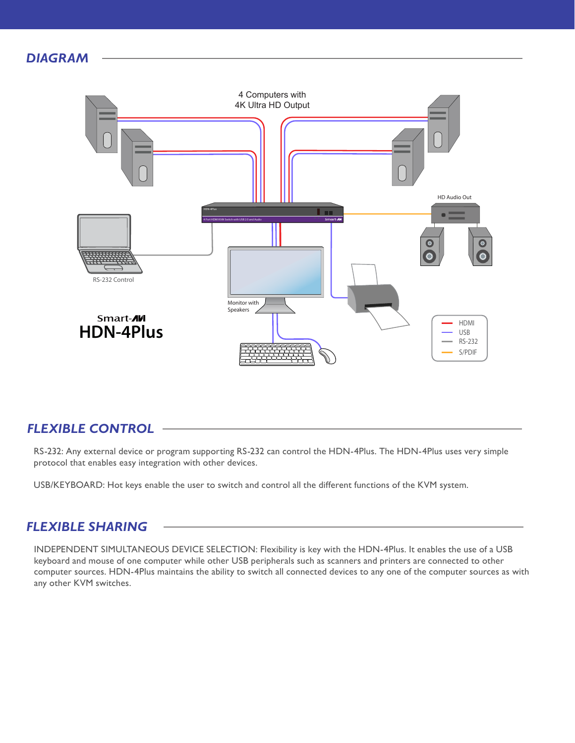## *DIAGRAM*



## *FLEXIBLE CONTROL*

RS-232: Any external device or program supporting RS-232 can control the HDN-4Plus. The HDN-4Plus uses very simple protocol that enables easy integration with other devices.

USB/KEYBOARD: Hot keys enable the user to switch and control all the different functions of the KVM system.

#### *FLEXIBLE SHARING*

INDEPENDENT SIMULTANEOUS DEVICE SELECTION: Flexibility is key with the HDN-4Plus. It enables the use of a USB keyboard and mouse of one computer while other USB peripherals such as scanners and printers are connected to other computer sources. HDN-4Plus maintains the ability to switch all connected devices to any one of the computer sources as with any other KVM switches.